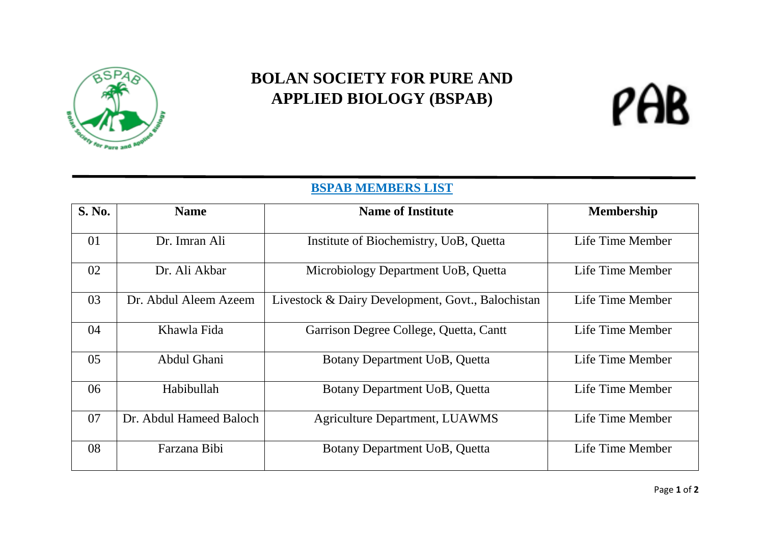

## **BOLAN SOCIETY FOR PURE AND APPLIED BIOLOGY (BSPAB)**

## PAB

## **BSPAB MEMBERS LIST**

| <b>S. No.</b> | <b>Name</b>             | <b>Name of Institute</b>                          | <b>Membership</b> |
|---------------|-------------------------|---------------------------------------------------|-------------------|
| 01            | Dr. Imran Ali           | Institute of Biochemistry, UoB, Quetta            | Life Time Member  |
| 02            | Dr. Ali Akbar           | Microbiology Department UoB, Quetta               | Life Time Member  |
| 03            | Dr. Abdul Aleem Azeem   | Livestock & Dairy Development, Govt., Balochistan | Life Time Member  |
| 04            | Khawla Fida             | Garrison Degree College, Quetta, Cantt            | Life Time Member  |
| 05            | Abdul Ghani             | Botany Department UoB, Quetta                     | Life Time Member  |
| 06            | Habibullah              | Botany Department UoB, Quetta                     | Life Time Member  |
| 07            | Dr. Abdul Hameed Baloch | <b>Agriculture Department, LUAWMS</b>             | Life Time Member  |
| 08            | Farzana Bibi            | Botany Department UoB, Quetta                     | Life Time Member  |